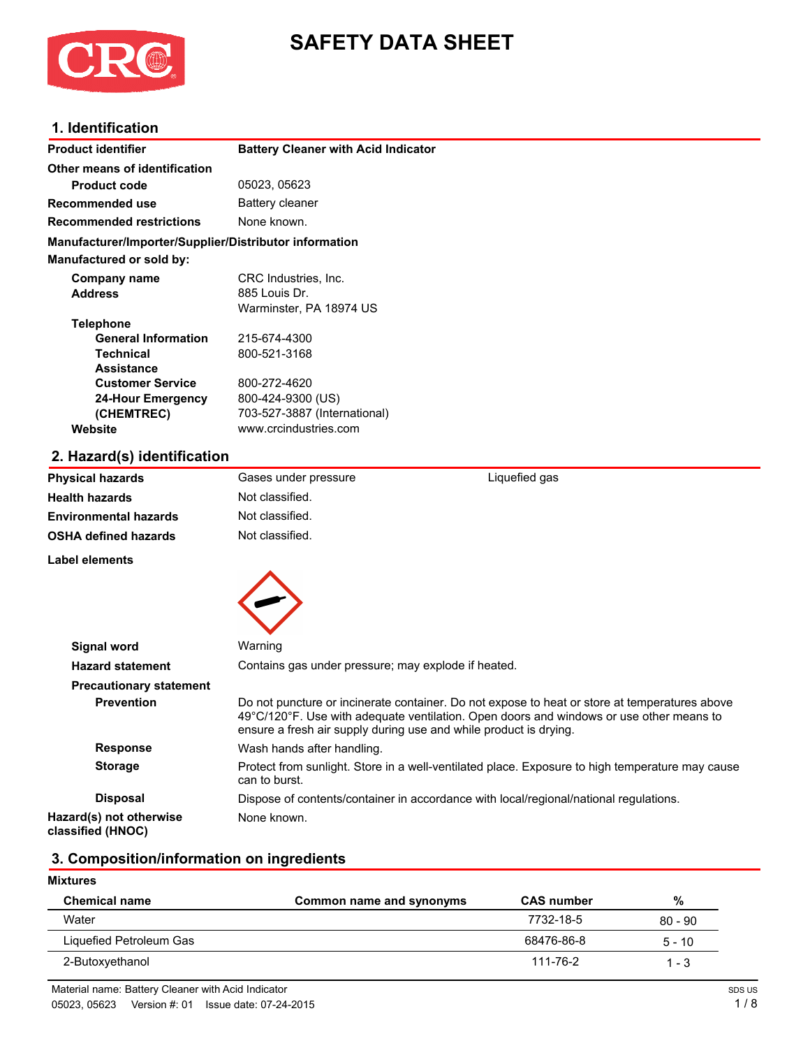

# **SAFETY DATA SHEET**

### **1. Identification**

| <b>Product identifier</b>                              | <b>Battery Cleaner with Acid Indicator</b> |               |  |
|--------------------------------------------------------|--------------------------------------------|---------------|--|
| Other means of identification                          |                                            |               |  |
| <b>Product code</b>                                    | 05023, 05623                               |               |  |
| Recommended use                                        | Battery cleaner                            |               |  |
| <b>Recommended restrictions</b>                        | None known.                                |               |  |
| Manufacturer/Importer/Supplier/Distributor information |                                            |               |  |
| <b>Manufactured or sold by:</b>                        |                                            |               |  |
| Company name                                           | CRC Industries, Inc.                       |               |  |
| <b>Address</b>                                         | 885 Louis Dr.                              |               |  |
|                                                        | Warminster, PA 18974 US                    |               |  |
| <b>Telephone</b>                                       |                                            |               |  |
| <b>General Information</b>                             | 215-674-4300                               |               |  |
| <b>Technical</b>                                       | 800-521-3168                               |               |  |
| <b>Assistance</b>                                      |                                            |               |  |
| <b>Customer Service</b>                                | 800-272-4620                               |               |  |
| <b>24-Hour Emergency</b>                               | 800-424-9300 (US)                          |               |  |
| (CHEMTREC)                                             | 703-527-3887 (International)               |               |  |
| Website                                                | www.crcindustries.com                      |               |  |
| 2. Hazard(s) identification                            |                                            |               |  |
| <b>Physical hazards</b>                                | Gases under pressure                       | Liquefied gas |  |
|                                                        | .                                          |               |  |

| Physical hazards               | Gases under pressure                                              | Liquefied qas                                                                                                                                                                            |
|--------------------------------|-------------------------------------------------------------------|------------------------------------------------------------------------------------------------------------------------------------------------------------------------------------------|
| Health hazards                 | Not classified.                                                   |                                                                                                                                                                                          |
| Environmental hazards          | Not classified.                                                   |                                                                                                                                                                                          |
| OSHA defined hazards           | Not classified.                                                   |                                                                                                                                                                                          |
| Label elements                 |                                                                   |                                                                                                                                                                                          |
|                                |                                                                   |                                                                                                                                                                                          |
|                                |                                                                   |                                                                                                                                                                                          |
|                                |                                                                   |                                                                                                                                                                                          |
| Signal word                    | Warning                                                           |                                                                                                                                                                                          |
| <b>Hazard statement</b>        | Contains gas under pressure; may explode if heated.               |                                                                                                                                                                                          |
| <b>Precautionary statement</b> |                                                                   |                                                                                                                                                                                          |
| <b>Prevention</b>              | ensure a fresh air supply during use and while product is drying. | Do not puncture or incinerate container. Do not expose to heat or store at temperatures above<br>49°C/120°F. Use with adequate ventilation. Open doors and windows or use other means to |
| <b>Response</b>                | Wash hands after handling.                                        |                                                                                                                                                                                          |
| <b>Storage</b>                 | can to burst.                                                     | Protect from sunlight. Store in a well-ventilated place. Exposure to high temperature may cause                                                                                          |
| <b>Disposal</b>                |                                                                   | Dispose of contents/container in accordance with local/regional/national regulations.                                                                                                    |
| Hazard(s) not otherwise        | None known.                                                       |                                                                                                                                                                                          |

**Hazard(s) not otherwise classified (HNOC)**

# **3. Composition/information on ingredients**

### **Mixtures**

| <b>Chemical name</b>    | Common name and synonyms | <b>CAS number</b> | %         |
|-------------------------|--------------------------|-------------------|-----------|
| Water                   |                          | 7732-18-5         | $80 - 90$ |
| Liquefied Petroleum Gas |                          | 68476-86-8        | $5 - 10$  |
| 2-Butoxyethanol         |                          | 111-76-2          | $1 - 3$   |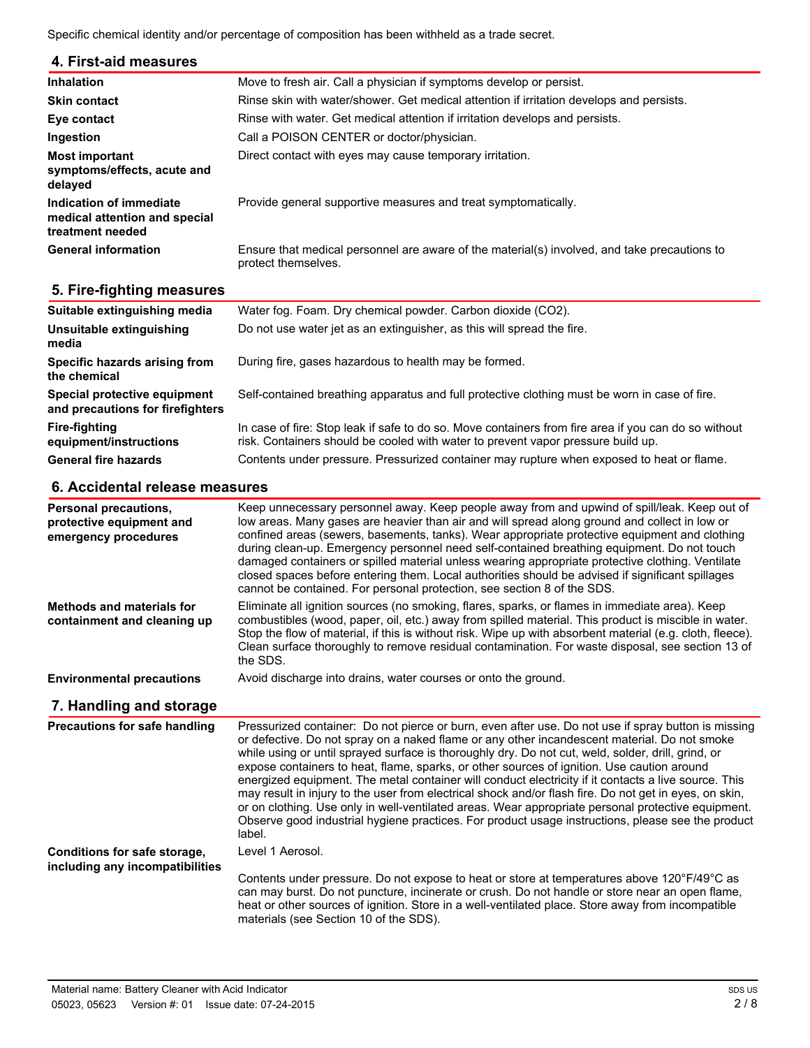Specific chemical identity and/or percentage of composition has been withheld as a trade secret.

### **4. First-aid measures**

| <b>Inhalation</b>                                                            | Move to fresh air. Call a physician if symptoms develop or persist.                                                 |
|------------------------------------------------------------------------------|---------------------------------------------------------------------------------------------------------------------|
| <b>Skin contact</b>                                                          | Rinse skin with water/shower. Get medical attention if irritation develops and persists.                            |
| Eye contact                                                                  | Rinse with water. Get medical attention if irritation develops and persists.                                        |
| Ingestion                                                                    | Call a POISON CENTER or doctor/physician.                                                                           |
| Most important<br>symptoms/effects, acute and<br>delayed                     | Direct contact with eyes may cause temporary irritation.                                                            |
| Indication of immediate<br>medical attention and special<br>treatment needed | Provide general supportive measures and treat symptomatically.                                                      |
| <b>General information</b>                                                   | Ensure that medical personnel are aware of the material(s) involved, and take precautions to<br>protect themselves. |

### **5. Fire-fighting measures**

| Suitable extinguishing media                                     | Water fog. Foam. Dry chemical powder. Carbon dioxide (CO2).                                                                                                                              |
|------------------------------------------------------------------|------------------------------------------------------------------------------------------------------------------------------------------------------------------------------------------|
| Unsuitable extinguishing<br>media                                | Do not use water jet as an extinguisher, as this will spread the fire.                                                                                                                   |
| Specific hazards arising from<br>the chemical                    | During fire, gases hazardous to health may be formed.                                                                                                                                    |
| Special protective equipment<br>and precautions for firefighters | Self-contained breathing apparatus and full protective clothing must be worn in case of fire.                                                                                            |
| <b>Fire-fighting</b><br>equipment/instructions                   | In case of fire: Stop leak if safe to do so. Move containers from fire area if you can do so without<br>risk. Containers should be cooled with water to prevent vapor pressure build up. |
| <b>General fire hazards</b>                                      | Contents under pressure. Pressurized container may rupture when exposed to heat or flame.                                                                                                |

### **6. Accidental release measures**

| Personal precautions,<br>protective equipment and<br>emergency procedures | Keep unnecessary personnel away. Keep people away from and upwind of spill/leak. Keep out of<br>low areas. Many gases are heavier than air and will spread along ground and collect in low or<br>confined areas (sewers, basements, tanks). Wear appropriate protective equipment and clothing<br>during clean-up. Emergency personnel need self-contained breathing equipment. Do not touch<br>damaged containers or spilled material unless wearing appropriate protective clothing. Ventilate<br>closed spaces before entering them. Local authorities should be advised if significant spillages<br>cannot be contained. For personal protection, see section 8 of the SDS. |
|---------------------------------------------------------------------------|---------------------------------------------------------------------------------------------------------------------------------------------------------------------------------------------------------------------------------------------------------------------------------------------------------------------------------------------------------------------------------------------------------------------------------------------------------------------------------------------------------------------------------------------------------------------------------------------------------------------------------------------------------------------------------|
| Methods and materials for<br>containment and cleaning up                  | Eliminate all ignition sources (no smoking, flares, sparks, or flames in immediate area). Keep<br>combustibles (wood, paper, oil, etc.) away from spilled material. This product is miscible in water.<br>Stop the flow of material, if this is without risk. Wipe up with absorbent material (e.g. cloth, fleece).<br>Clean surface thoroughly to remove residual contamination. For waste disposal, see section 13 of<br>the SDS.                                                                                                                                                                                                                                             |
| <b>Environmental precautions</b>                                          | Avoid discharge into drains, water courses or onto the ground.                                                                                                                                                                                                                                                                                                                                                                                                                                                                                                                                                                                                                  |

### **7. Handling and storage**

| <b>Precautions for safe handling</b>                            | Pressurized container: Do not pierce or burn, even after use. Do not use if spray button is missing<br>or defective. Do not spray on a naked flame or any other incandescent material. Do not smoke<br>while using or until sprayed surface is thoroughly dry. Do not cut, weld, solder, drill, grind, or<br>expose containers to heat, flame, sparks, or other sources of ignition. Use caution around<br>energized equipment. The metal container will conduct electricity if it contacts a live source. This<br>may result in injury to the user from electrical shock and/or flash fire. Do not get in eyes, on skin,<br>or on clothing. Use only in well-ventilated areas. Wear appropriate personal protective equipment.<br>Observe good industrial hygiene practices. For product usage instructions, please see the product<br>label. |
|-----------------------------------------------------------------|------------------------------------------------------------------------------------------------------------------------------------------------------------------------------------------------------------------------------------------------------------------------------------------------------------------------------------------------------------------------------------------------------------------------------------------------------------------------------------------------------------------------------------------------------------------------------------------------------------------------------------------------------------------------------------------------------------------------------------------------------------------------------------------------------------------------------------------------|
| Conditions for safe storage,<br>including any incompatibilities | Level 1 Aerosol.                                                                                                                                                                                                                                                                                                                                                                                                                                                                                                                                                                                                                                                                                                                                                                                                                               |
|                                                                 | Contents under pressure. Do not expose to heat or store at temperatures above 120°F/49°C as<br>can may burst. Do not puncture, incinerate or crush. Do not handle or store near an open flame,<br>heat or other sources of ignition. Store in a well-ventilated place. Store away from incompatible<br>materials (see Section 10 of the SDS).                                                                                                                                                                                                                                                                                                                                                                                                                                                                                                  |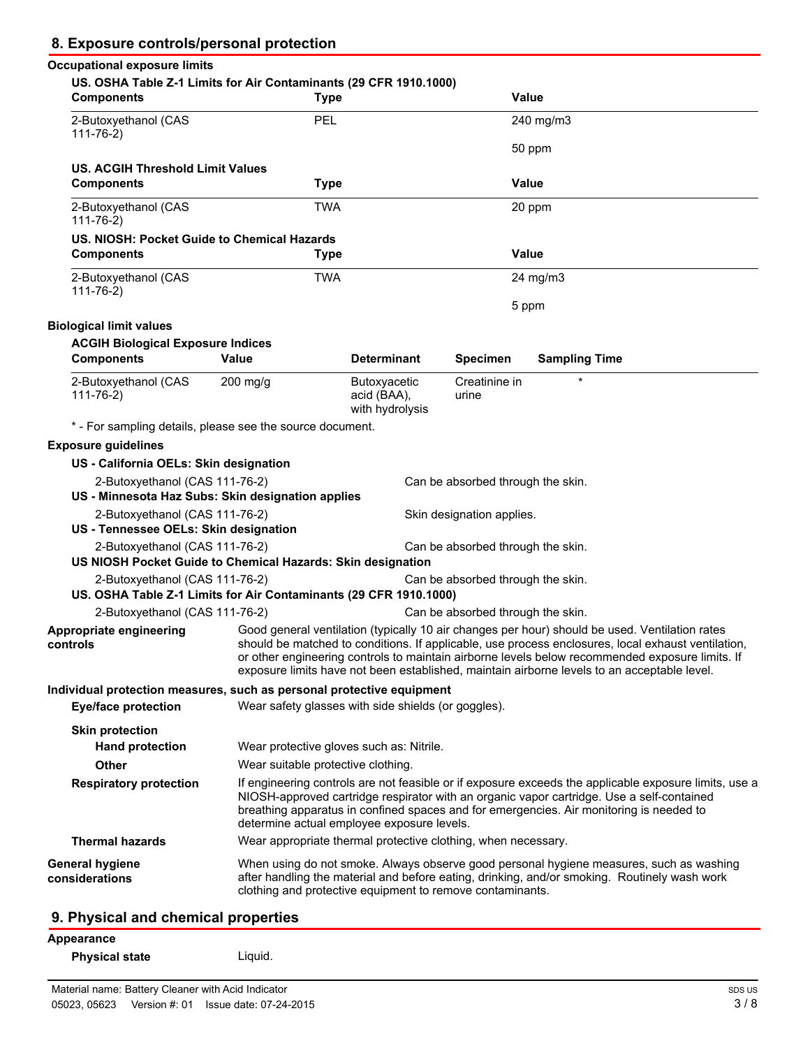| 8. Exposure controls/personal protection                                                            |                                                               |                                                       |                                   |                                                                                                                                                                                                                                                                                                                                                                                                        |  |
|-----------------------------------------------------------------------------------------------------|---------------------------------------------------------------|-------------------------------------------------------|-----------------------------------|--------------------------------------------------------------------------------------------------------------------------------------------------------------------------------------------------------------------------------------------------------------------------------------------------------------------------------------------------------------------------------------------------------|--|
| <b>Occupational exposure limits</b>                                                                 |                                                               |                                                       |                                   |                                                                                                                                                                                                                                                                                                                                                                                                        |  |
| US. OSHA Table Z-1 Limits for Air Contaminants (29 CFR 1910.1000)<br><b>Components</b>              | <b>Type</b>                                                   |                                                       |                                   | <b>Value</b>                                                                                                                                                                                                                                                                                                                                                                                           |  |
| 2-Butoxyethanol (CAS<br>$111 - 76 - 2$                                                              | PEL                                                           |                                                       |                                   | 240 mg/m3                                                                                                                                                                                                                                                                                                                                                                                              |  |
|                                                                                                     |                                                               |                                                       |                                   | 50 ppm                                                                                                                                                                                                                                                                                                                                                                                                 |  |
| US. ACGIH Threshold Limit Values<br><b>Components</b>                                               | <b>Type</b>                                                   |                                                       |                                   | <b>Value</b>                                                                                                                                                                                                                                                                                                                                                                                           |  |
| 2-Butoxyethanol (CAS<br>$111 - 76 - 2$                                                              | <b>TWA</b>                                                    |                                                       |                                   | 20 ppm                                                                                                                                                                                                                                                                                                                                                                                                 |  |
| US. NIOSH: Pocket Guide to Chemical Hazards<br><b>Components</b>                                    | <b>Type</b>                                                   |                                                       |                                   | Value                                                                                                                                                                                                                                                                                                                                                                                                  |  |
| 2-Butoxyethanol (CAS<br>$111 - 76 - 2)$                                                             | <b>TWA</b>                                                    |                                                       |                                   | 24 mg/m3                                                                                                                                                                                                                                                                                                                                                                                               |  |
|                                                                                                     |                                                               |                                                       |                                   | 5 ppm                                                                                                                                                                                                                                                                                                                                                                                                  |  |
| <b>Biological limit values</b>                                                                      |                                                               |                                                       |                                   |                                                                                                                                                                                                                                                                                                                                                                                                        |  |
| <b>ACGIH Biological Exposure Indices</b><br><b>Components</b>                                       | Value                                                         | <b>Determinant</b>                                    | <b>Specimen</b>                   | <b>Sampling Time</b>                                                                                                                                                                                                                                                                                                                                                                                   |  |
| 2-Butoxyethanol (CAS<br>$111 - 76 - 2)$                                                             | $200$ mg/g                                                    | <b>Butoxyacetic</b><br>acid (BAA),<br>with hydrolysis | Creatinine in<br>urine            | $\star$                                                                                                                                                                                                                                                                                                                                                                                                |  |
| * - For sampling details, please see the source document.                                           |                                                               |                                                       |                                   |                                                                                                                                                                                                                                                                                                                                                                                                        |  |
| <b>Exposure guidelines</b>                                                                          |                                                               |                                                       |                                   |                                                                                                                                                                                                                                                                                                                                                                                                        |  |
| US - California OELs: Skin designation                                                              |                                                               |                                                       |                                   |                                                                                                                                                                                                                                                                                                                                                                                                        |  |
| 2-Butoxyethanol (CAS 111-76-2)<br>US - Minnesota Haz Subs: Skin designation applies                 |                                                               |                                                       | Can be absorbed through the skin. |                                                                                                                                                                                                                                                                                                                                                                                                        |  |
| 2-Butoxyethanol (CAS 111-76-2)                                                                      |                                                               |                                                       | Skin designation applies.         |                                                                                                                                                                                                                                                                                                                                                                                                        |  |
| US - Tennessee OELs: Skin designation                                                               |                                                               |                                                       |                                   |                                                                                                                                                                                                                                                                                                                                                                                                        |  |
| 2-Butoxyethanol (CAS 111-76-2)<br>US NIOSH Pocket Guide to Chemical Hazards: Skin designation       |                                                               |                                                       | Can be absorbed through the skin. |                                                                                                                                                                                                                                                                                                                                                                                                        |  |
| 2-Butoxyethanol (CAS 111-76-2)<br>US. OSHA Table Z-1 Limits for Air Contaminants (29 CFR 1910.1000) |                                                               |                                                       | Can be absorbed through the skin. |                                                                                                                                                                                                                                                                                                                                                                                                        |  |
| 2-Butoxyethanol (CAS 111-76-2)                                                                      |                                                               |                                                       | Can be absorbed through the skin. |                                                                                                                                                                                                                                                                                                                                                                                                        |  |
| Appropriate engineering<br>controls                                                                 |                                                               |                                                       |                                   | Good general ventilation (typically 10 air changes per hour) should be used. Ventilation rates<br>should be matched to conditions. If applicable, use process enclosures, local exhaust ventilation,<br>or other engineering controls to maintain airborne levels below recommended exposure limits. If<br>exposure limits have not been established, maintain airborne levels to an acceptable level. |  |
| Individual protection measures, such as personal protective equipment                               |                                                               |                                                       |                                   |                                                                                                                                                                                                                                                                                                                                                                                                        |  |
| <b>Eye/face protection</b>                                                                          | Wear safety glasses with side shields (or goggles).           |                                                       |                                   |                                                                                                                                                                                                                                                                                                                                                                                                        |  |
| <b>Skin protection</b><br><b>Hand protection</b>                                                    | Wear protective gloves such as: Nitrile.                      |                                                       |                                   |                                                                                                                                                                                                                                                                                                                                                                                                        |  |
| Other                                                                                               | Wear suitable protective clothing.                            |                                                       |                                   |                                                                                                                                                                                                                                                                                                                                                                                                        |  |
| <b>Respiratory protection</b>                                                                       |                                                               |                                                       |                                   | If engineering controls are not feasible or if exposure exceeds the applicable exposure limits, use a                                                                                                                                                                                                                                                                                                  |  |
|                                                                                                     | determine actual employee exposure levels.                    |                                                       |                                   | NIOSH-approved cartridge respirator with an organic vapor cartridge. Use a self-contained<br>breathing apparatus in confined spaces and for emergencies. Air monitoring is needed to                                                                                                                                                                                                                   |  |
| <b>Thermal hazards</b>                                                                              | Wear appropriate thermal protective clothing, when necessary. |                                                       |                                   |                                                                                                                                                                                                                                                                                                                                                                                                        |  |
| <b>General hygiene</b><br>considerations                                                            | clothing and protective equipment to remove contaminants.     |                                                       |                                   | When using do not smoke. Always observe good personal hygiene measures, such as washing<br>after handling the material and before eating, drinking, and/or smoking. Routinely wash work                                                                                                                                                                                                                |  |
|                                                                                                     |                                                               |                                                       |                                   |                                                                                                                                                                                                                                                                                                                                                                                                        |  |

# **9. Physical and chemical properties**

| Appearance            |         |
|-----------------------|---------|
| <b>Physical state</b> | Liquid. |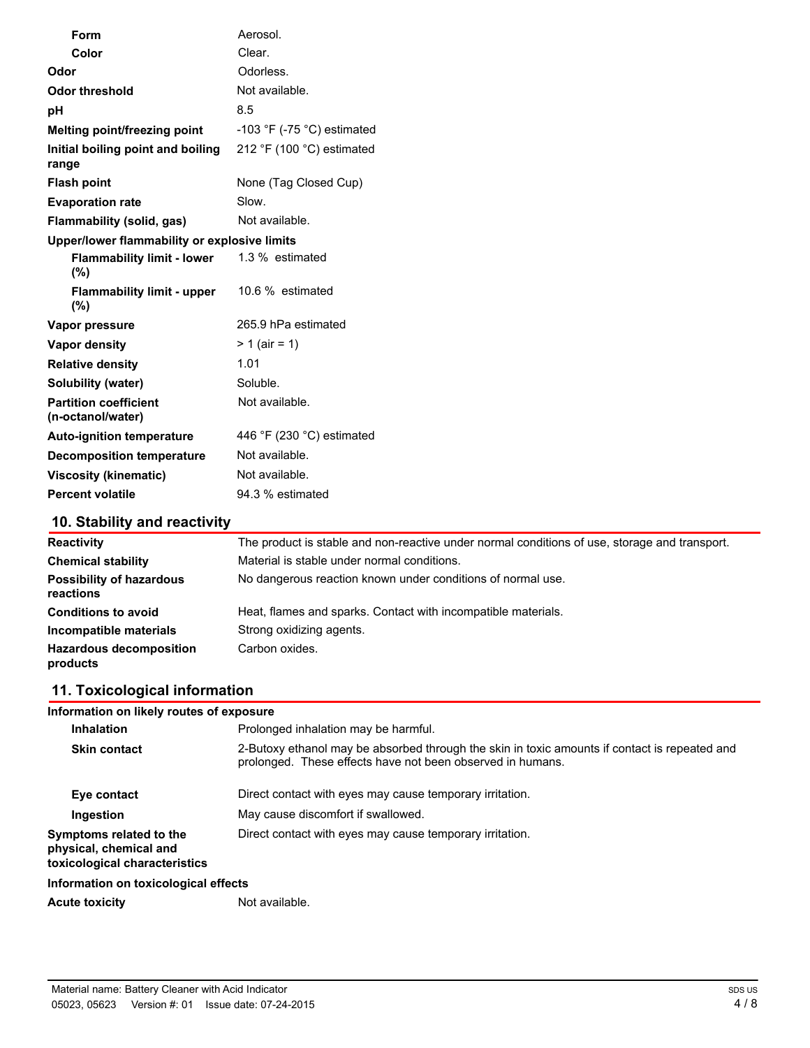| Form                                              | Aerosol.                                     |
|---------------------------------------------------|----------------------------------------------|
| Color                                             | Clear.                                       |
| Odor                                              | Odorless.                                    |
| <b>Odor threshold</b>                             | Not available.                               |
| рH                                                | 8.5                                          |
| Melting point/freezing point                      | -103 $\degree$ F (-75 $\degree$ C) estimated |
| Initial boiling point and boiling<br>range        | 212 °F (100 °C) estimated                    |
| <b>Flash point</b>                                | None (Tag Closed Cup)                        |
| <b>Evaporation rate</b>                           | Slow.                                        |
| Flammability (solid, gas)                         | Not available.                               |
| Upper/lower flammability or explosive limits      |                                              |
| <b>Flammability limit - lower</b><br>(%)          | 1.3 % estimated                              |
| <b>Flammability limit - upper</b><br>(%)          | 10.6 % estimated                             |
| Vapor pressure                                    | 265.9 hPa estimated                          |
| <b>Vapor density</b>                              | $> 1$ (air = 1)                              |
| <b>Relative density</b>                           | 1.01                                         |
| <b>Solubility (water)</b>                         | Soluble.                                     |
| <b>Partition coefficient</b><br>(n-octanol/water) | Not available.                               |
| <b>Auto-ignition temperature</b>                  | 446 $\degree$ F (230 $\degree$ C) estimated  |
| <b>Decomposition temperature</b>                  | Not available.                               |
| <b>Viscosity (kinematic)</b>                      | Not available.                               |
| <b>Percent volatile</b>                           | 94.3 % estimated                             |

# **10. Stability and reactivity**

| <b>Reactivity</b>                            | The product is stable and non-reactive under normal conditions of use, storage and transport. |
|----------------------------------------------|-----------------------------------------------------------------------------------------------|
| <b>Chemical stability</b>                    | Material is stable under normal conditions.                                                   |
| <b>Possibility of hazardous</b><br>reactions | No dangerous reaction known under conditions of normal use.                                   |
| <b>Conditions to avoid</b>                   | Heat, flames and sparks. Contact with incompatible materials.                                 |
| Incompatible materials                       | Strong oxidizing agents.                                                                      |
| <b>Hazardous decomposition</b><br>products   | Carbon oxides.                                                                                |

# **11. Toxicological information**

| Information on likely routes of exposure                                           |                                                                                                                                                             |  |
|------------------------------------------------------------------------------------|-------------------------------------------------------------------------------------------------------------------------------------------------------------|--|
| <b>Inhalation</b>                                                                  | Prolonged inhalation may be harmful.                                                                                                                        |  |
| <b>Skin contact</b>                                                                | 2-Butoxy ethanol may be absorbed through the skin in toxic amounts if contact is repeated and<br>prolonged. These effects have not been observed in humans. |  |
| Eye contact                                                                        | Direct contact with eyes may cause temporary irritation.                                                                                                    |  |
| Ingestion                                                                          | May cause discomfort if swallowed.                                                                                                                          |  |
| Symptoms related to the<br>physical, chemical and<br>toxicological characteristics | Direct contact with eyes may cause temporary irritation.                                                                                                    |  |
| Information on toxicological effects                                               |                                                                                                                                                             |  |
| <b>Acute toxicity</b>                                                              | Not available.                                                                                                                                              |  |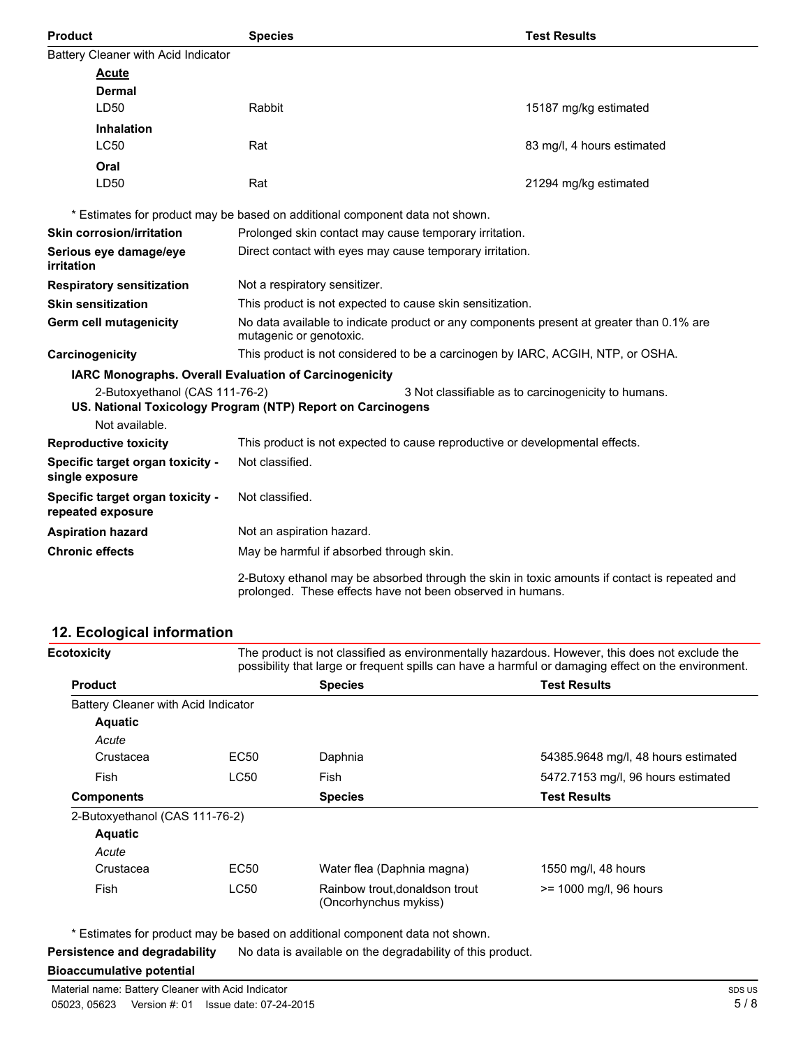| <b>Product</b>                                         | <b>Species</b>                                                                                                                                              | <b>Test Results</b>                                 |
|--------------------------------------------------------|-------------------------------------------------------------------------------------------------------------------------------------------------------------|-----------------------------------------------------|
| Battery Cleaner with Acid Indicator                    |                                                                                                                                                             |                                                     |
| <b>Acute</b>                                           |                                                                                                                                                             |                                                     |
| Dermal                                                 |                                                                                                                                                             |                                                     |
| LD50                                                   | Rabbit                                                                                                                                                      | 15187 mg/kg estimated                               |
| <b>Inhalation</b>                                      |                                                                                                                                                             |                                                     |
| <b>LC50</b>                                            | Rat                                                                                                                                                         | 83 mg/l, 4 hours estimated                          |
| Oral                                                   |                                                                                                                                                             |                                                     |
| LD50                                                   | Rat                                                                                                                                                         | 21294 mg/kg estimated                               |
|                                                        | * Estimates for product may be based on additional component data not shown.                                                                                |                                                     |
| <b>Skin corrosion/irritation</b>                       | Prolonged skin contact may cause temporary irritation.                                                                                                      |                                                     |
| Serious eye damage/eye<br>irritation                   | Direct contact with eyes may cause temporary irritation.                                                                                                    |                                                     |
| <b>Respiratory sensitization</b>                       | Not a respiratory sensitizer.                                                                                                                               |                                                     |
| <b>Skin sensitization</b>                              | This product is not expected to cause skin sensitization.                                                                                                   |                                                     |
| Germ cell mutagenicity                                 | No data available to indicate product or any components present at greater than 0.1% are<br>mutagenic or genotoxic.                                         |                                                     |
| Carcinogenicity                                        | This product is not considered to be a carcinogen by IARC, ACGIH, NTP, or OSHA.                                                                             |                                                     |
| IARC Monographs. Overall Evaluation of Carcinogenicity |                                                                                                                                                             |                                                     |
| 2-Butoxyethanol (CAS 111-76-2)                         | US. National Toxicology Program (NTP) Report on Carcinogens                                                                                                 | 3 Not classifiable as to carcinogenicity to humans. |
| Not available.                                         |                                                                                                                                                             |                                                     |
| <b>Reproductive toxicity</b>                           | This product is not expected to cause reproductive or developmental effects.                                                                                |                                                     |
| Specific target organ toxicity -<br>single exposure    | Not classified.                                                                                                                                             |                                                     |
| Specific target organ toxicity -<br>repeated exposure  | Not classified.                                                                                                                                             |                                                     |
| <b>Aspiration hazard</b>                               | Not an aspiration hazard.                                                                                                                                   |                                                     |
| <b>Chronic effects</b>                                 | May be harmful if absorbed through skin.                                                                                                                    |                                                     |
|                                                        | 2-Butoxy ethanol may be absorbed through the skin in toxic amounts if contact is repeated and<br>prolonged. These effects have not been observed in humans. |                                                     |

# **12. Ecological information**

|                                     | The product is not classified as environmentally hazardous. However, this does not exclude the<br>possibility that large or frequent spills can have a harmful or damaging effect on the environment. |                                     |
|-------------------------------------|-------------------------------------------------------------------------------------------------------------------------------------------------------------------------------------------------------|-------------------------------------|
|                                     | <b>Species</b>                                                                                                                                                                                        | <b>Test Results</b>                 |
| Battery Cleaner with Acid Indicator |                                                                                                                                                                                                       |                                     |
|                                     |                                                                                                                                                                                                       |                                     |
|                                     |                                                                                                                                                                                                       |                                     |
| EC <sub>50</sub>                    | Daphnia                                                                                                                                                                                               | 54385.9648 mg/l, 48 hours estimated |
| <b>LC50</b>                         | Fish                                                                                                                                                                                                  | 5472.7153 mg/l, 96 hours estimated  |
|                                     | <b>Species</b>                                                                                                                                                                                        | <b>Test Results</b>                 |
| 2-Butoxyethanol (CAS 111-76-2)      |                                                                                                                                                                                                       |                                     |
|                                     |                                                                                                                                                                                                       |                                     |
|                                     |                                                                                                                                                                                                       |                                     |
| EC50                                | Water flea (Daphnia magna)                                                                                                                                                                            | 1550 mg/l, 48 hours                 |
| <b>LC50</b>                         | Rainbow trout, donaldson trout<br>(Oncorhynchus mykiss)                                                                                                                                               | >= 1000 mg/l, 96 hours              |
|                                     |                                                                                                                                                                                                       |                                     |

\* Estimates for product may be based on additional component data not shown.

**Persistence and degradability** No data is available on the degradability of this product.

### **Bioaccumulative potential**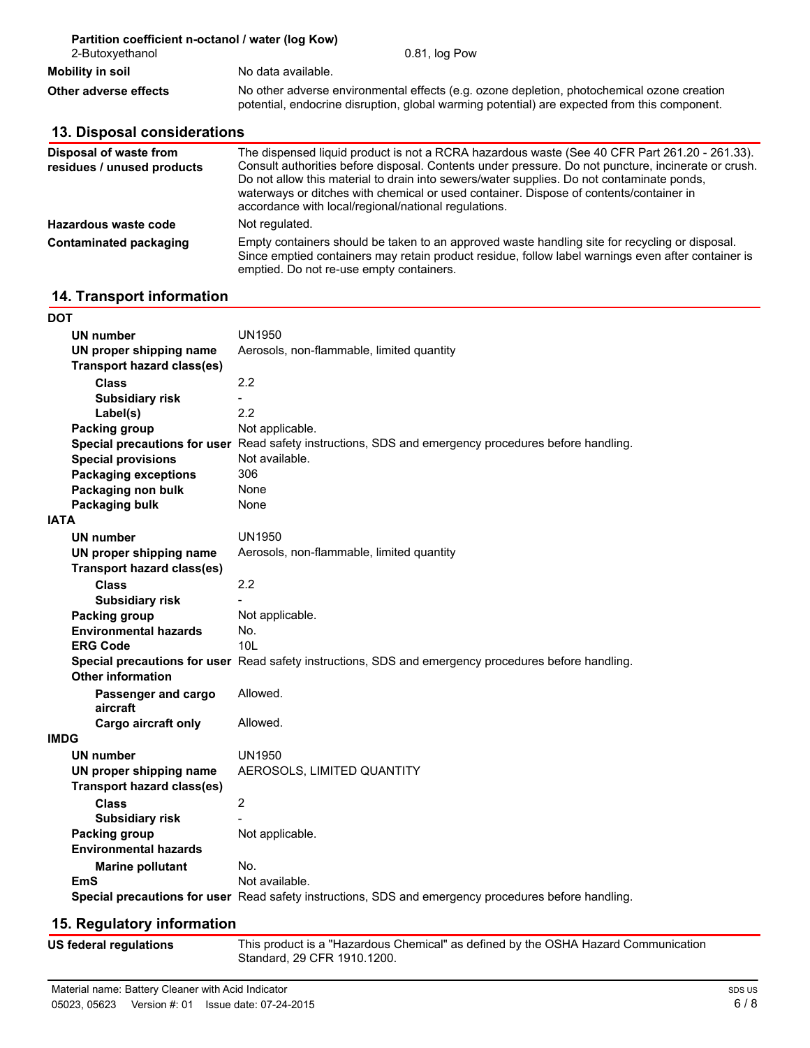| Partition coefficient n-octanol / water (log Kow)<br>2-Butoxyethanol                                                                                                                                                | 0.81, log Pow                                                                                                                                                                                                                                                                                                                                                                                                                                       |  |
|---------------------------------------------------------------------------------------------------------------------------------------------------------------------------------------------------------------------|-----------------------------------------------------------------------------------------------------------------------------------------------------------------------------------------------------------------------------------------------------------------------------------------------------------------------------------------------------------------------------------------------------------------------------------------------------|--|
| Mobility in soil                                                                                                                                                                                                    | No data available.                                                                                                                                                                                                                                                                                                                                                                                                                                  |  |
| No other adverse environmental effects (e.g. ozone depletion, photochemical ozone creation<br>Other adverse effects<br>potential, endocrine disruption, global warming potential) are expected from this component. |                                                                                                                                                                                                                                                                                                                                                                                                                                                     |  |
| 13. Disposal considerations                                                                                                                                                                                         |                                                                                                                                                                                                                                                                                                                                                                                                                                                     |  |
| Disposal of waste from<br>residues / unused products                                                                                                                                                                | The dispensed liquid product is not a RCRA hazardous waste (See 40 CFR Part 261.20 - 261.33).<br>Consult authorities before disposal. Contents under pressure. Do not puncture, incinerate or crush.<br>Do not allow this material to drain into sewers/water supplies. Do not contaminate ponds,<br>waterways or ditches with chemical or used container. Dispose of contents/container in<br>accordance with local/regional/national regulations. |  |
| Hazardous waste code                                                                                                                                                                                                | Not regulated.                                                                                                                                                                                                                                                                                                                                                                                                                                      |  |
| Contaminated packaging                                                                                                                                                                                              | Empty containers should be taken to an approved waste handling site for recycling or disposal.                                                                                                                                                                                                                                                                                                                                                      |  |

emptied. Do not re-use empty containers.

Since emptied containers may retain product residue, follow label warnings even after container is

# **14. Transport information**

| DOT                               |                                                                                                      |
|-----------------------------------|------------------------------------------------------------------------------------------------------|
| UN number                         | UN1950                                                                                               |
| UN proper shipping name           | Aerosols, non-flammable, limited quantity                                                            |
| <b>Transport hazard class(es)</b> |                                                                                                      |
| <b>Class</b>                      | 2.2                                                                                                  |
| <b>Subsidiary risk</b>            | $\overline{a}$                                                                                       |
| Label(s)                          | 2.2                                                                                                  |
| Packing group                     | Not applicable.                                                                                      |
|                                   | Special precautions for user Read safety instructions, SDS and emergency procedures before handling. |
| <b>Special provisions</b>         | Not available.                                                                                       |
| <b>Packaging exceptions</b>       | 306                                                                                                  |
| Packaging non bulk                | None                                                                                                 |
| Packaging bulk                    | None                                                                                                 |
| <b>IATA</b>                       |                                                                                                      |
| <b>UN number</b>                  | UN1950                                                                                               |
| UN proper shipping name           | Aerosols, non-flammable, limited quantity                                                            |
| <b>Transport hazard class(es)</b> |                                                                                                      |
| <b>Class</b>                      | 2.2                                                                                                  |
| <b>Subsidiary risk</b>            |                                                                                                      |
| Packing group                     | Not applicable.                                                                                      |
| <b>Environmental hazards</b>      | No.                                                                                                  |
| <b>ERG Code</b>                   | 10I                                                                                                  |
|                                   | Special precautions for user Read safety instructions, SDS and emergency procedures before handling. |
| <b>Other information</b>          |                                                                                                      |
| Passenger and cargo               | Allowed.                                                                                             |
| aircraft                          |                                                                                                      |
| <b>Cargo aircraft only</b>        | Allowed.                                                                                             |
| <b>IMDG</b>                       |                                                                                                      |
| UN number                         | UN1950                                                                                               |
| UN proper shipping name           | AEROSOLS, LIMITED QUANTITY                                                                           |
| <b>Transport hazard class(es)</b> |                                                                                                      |
| <b>Class</b>                      | $\overline{2}$                                                                                       |
| <b>Subsidiary risk</b>            |                                                                                                      |
| Packing group                     | Not applicable.                                                                                      |
| <b>Environmental hazards</b>      |                                                                                                      |
| <b>Marine pollutant</b>           | No.                                                                                                  |
| EmS                               | Not available.                                                                                       |
|                                   | Special precautions for user Read safety instructions, SDS and emergency procedures before handling. |
|                                   |                                                                                                      |

### **15. Regulatory information**

**US federal regulations**

This product is a "Hazardous Chemical" as defined by the OSHA Hazard Communication Standard, 29 CFR 1910.1200.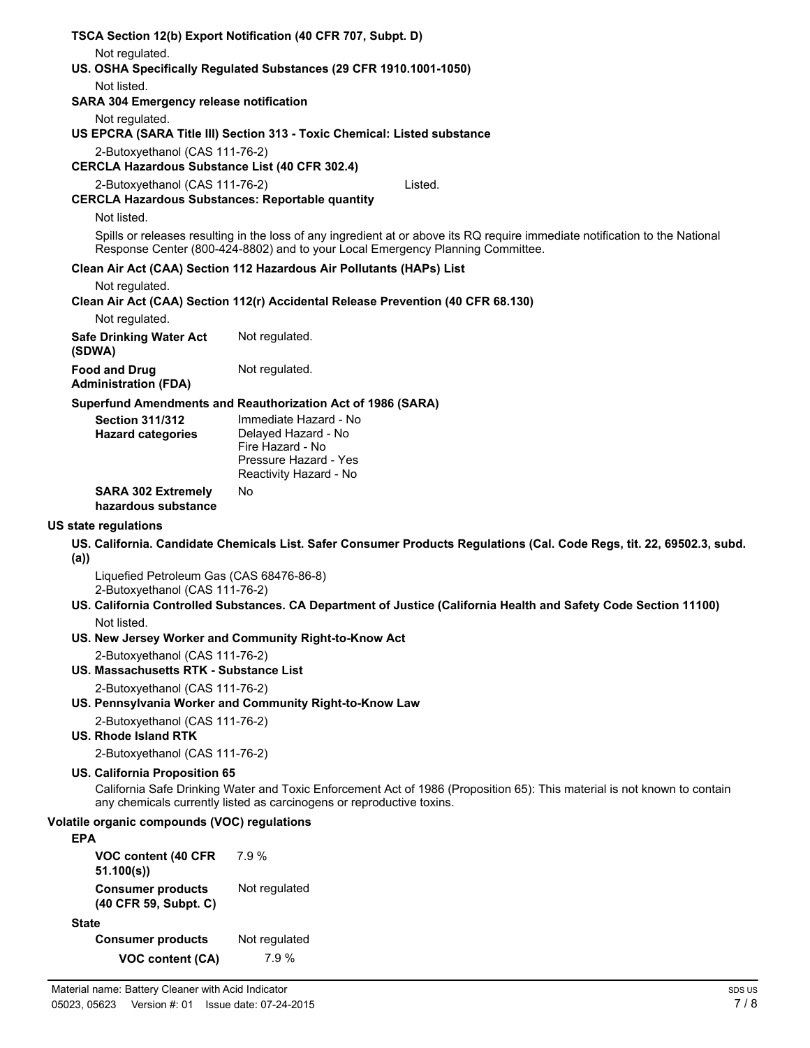| TSCA Section 12(b) Export Notification (40 CFR 707, Subpt. D)                              |                                                                                                                                                                                                   |  |  |
|--------------------------------------------------------------------------------------------|---------------------------------------------------------------------------------------------------------------------------------------------------------------------------------------------------|--|--|
| Not regulated.                                                                             |                                                                                                                                                                                                   |  |  |
| US. OSHA Specifically Regulated Substances (29 CFR 1910.1001-1050)                         |                                                                                                                                                                                                   |  |  |
| Not listed.<br><b>SARA 304 Emergency release notification</b>                              |                                                                                                                                                                                                   |  |  |
| Not regulated.<br>US EPCRA (SARA Title III) Section 313 - Toxic Chemical: Listed substance |                                                                                                                                                                                                   |  |  |
| 2-Butoxyethanol (CAS 111-76-2)                                                             |                                                                                                                                                                                                   |  |  |
| <b>CERCLA Hazardous Substance List (40 CFR 302.4)</b>                                      |                                                                                                                                                                                                   |  |  |
| 2-Butoxyethanol (CAS 111-76-2)<br><b>CERCLA Hazardous Substances: Reportable quantity</b>  | Listed.                                                                                                                                                                                           |  |  |
| Not listed.                                                                                |                                                                                                                                                                                                   |  |  |
|                                                                                            | Spills or releases resulting in the loss of any ingredient at or above its RQ require immediate notification to the National                                                                      |  |  |
|                                                                                            | Response Center (800-424-8802) and to your Local Emergency Planning Committee.                                                                                                                    |  |  |
|                                                                                            | Clean Air Act (CAA) Section 112 Hazardous Air Pollutants (HAPs) List                                                                                                                              |  |  |
| Not regulated.                                                                             | Clean Air Act (CAA) Section 112(r) Accidental Release Prevention (40 CFR 68.130)                                                                                                                  |  |  |
| Not regulated.                                                                             |                                                                                                                                                                                                   |  |  |
| <b>Safe Drinking Water Act</b><br>(SDWA)                                                   | Not regulated.                                                                                                                                                                                    |  |  |
| <b>Food and Drug</b>                                                                       | Not regulated.                                                                                                                                                                                    |  |  |
| <b>Administration (FDA)</b>                                                                |                                                                                                                                                                                                   |  |  |
|                                                                                            | Superfund Amendments and Reauthorization Act of 1986 (SARA)                                                                                                                                       |  |  |
| <b>Section 311/312</b>                                                                     | Immediate Hazard - No                                                                                                                                                                             |  |  |
| <b>Hazard categories</b>                                                                   | Delayed Hazard - No<br>Fire Hazard - No                                                                                                                                                           |  |  |
|                                                                                            | Pressure Hazard - Yes                                                                                                                                                                             |  |  |
|                                                                                            | Reactivity Hazard - No                                                                                                                                                                            |  |  |
| <b>SARA 302 Extremely</b><br>hazardous substance                                           | No.                                                                                                                                                                                               |  |  |
| US state regulations                                                                       |                                                                                                                                                                                                   |  |  |
| (a)                                                                                        | US. California. Candidate Chemicals List. Safer Consumer Products Regulations (Cal. Code Regs, tit. 22, 69502.3, subd.                                                                            |  |  |
| Liquefied Petroleum Gas (CAS 68476-86-8)                                                   |                                                                                                                                                                                                   |  |  |
| 2-Butoxyethanol (CAS 111-76-2)                                                             | US. California Controlled Substances. CA Department of Justice (California Health and Safety Code Section 11100)                                                                                  |  |  |
| Not listed.                                                                                |                                                                                                                                                                                                   |  |  |
|                                                                                            | US. New Jersey Worker and Community Right-to-Know Act                                                                                                                                             |  |  |
| 2-Butoxyethanol (CAS 111-76-2)                                                             |                                                                                                                                                                                                   |  |  |
| US. Massachusetts RTK - Substance List                                                     |                                                                                                                                                                                                   |  |  |
| 2-Butoxyethanol (CAS 111-76-2)                                                             | US. Pennsylvania Worker and Community Right-to-Know Law                                                                                                                                           |  |  |
| 2-Butoxyethanol (CAS 111-76-2)                                                             |                                                                                                                                                                                                   |  |  |
| U.S. Rhode Island RTK                                                                      |                                                                                                                                                                                                   |  |  |
| 2-Butoxyethanol (CAS 111-76-2)                                                             |                                                                                                                                                                                                   |  |  |
| US. California Proposition 65                                                              |                                                                                                                                                                                                   |  |  |
|                                                                                            | California Safe Drinking Water and Toxic Enforcement Act of 1986 (Proposition 65): This material is not known to contain<br>any chemicals currently listed as carcinogens or reproductive toxins. |  |  |
| Volatile organic compounds (VOC) regulations<br><b>EPA</b>                                 |                                                                                                                                                                                                   |  |  |
| VOC content (40 CFR<br>51.100(s)                                                           | 7.9%                                                                                                                                                                                              |  |  |
| <b>Consumer products</b><br>(40 CFR 59, Subpt. C)                                          | Not regulated                                                                                                                                                                                     |  |  |
|                                                                                            |                                                                                                                                                                                                   |  |  |

**State**

**Consumer products** Not regulated **VOC content (CA)** 7.9 %